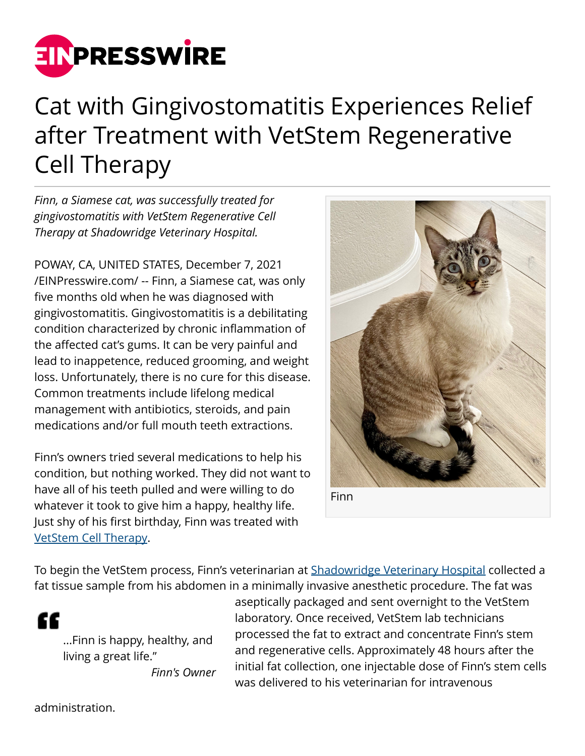

## Cat with Gingivostomatitis Experiences Relief after Treatment with VetStem Regenerative Cell Therapy

*Finn, a Siamese cat, was successfully treated for gingivostomatitis with VetStem Regenerative Cell Therapy at Shadowridge Veterinary Hospital.*

POWAY, CA, UNITED STATES, December 7, 2021 [/EINPresswire.com/](http://www.einpresswire.com) -- Finn, a Siamese cat, was only five months old when he was diagnosed with gingivostomatitis. Gingivostomatitis is a debilitating condition characterized by chronic inflammation of the affected cat's gums. It can be very painful and lead to inappetence, reduced grooming, and weight loss. Unfortunately, there is no cure for this disease. Common treatments include lifelong medical management with antibiotics, steroids, and pain medications and/or full mouth teeth extractions.

Finn's owners tried several medications to help his condition, but nothing worked. They did not want to have all of his teeth pulled and were willing to do whatever it took to give him a happy, healthy life. Just shy of his first birthday, Finn was treated with [VetStem Cell Therapy](https://vetstem.com/dogsandcats.php).



Finn

To begin the VetStem process, Finn's veterinarian at [Shadowridge Veterinary Hospital](https://shadowridgevet.com/) collected a fat tissue sample from his abdomen in a minimally invasive anesthetic procedure. The fat was

"

...Finn is happy, healthy, and living a great life." *Finn's Owner*

aseptically packaged and sent overnight to the VetStem laboratory. Once received, VetStem lab technicians processed the fat to extract and concentrate Finn's stem and regenerative cells. Approximately 48 hours after the initial fat collection, one injectable dose of Finn's stem cells was delivered to his veterinarian for intravenous

administration.